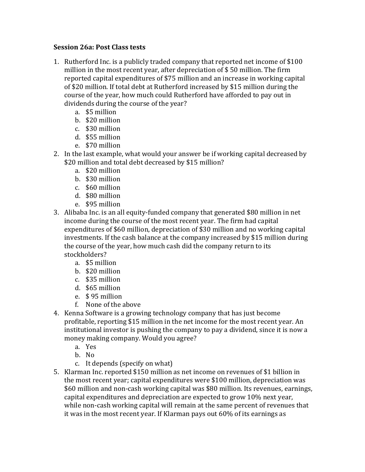## **Session 26a**: Post Class tests

- 1. Rutherford Inc. is a publicly traded company that reported net income of \$100 million in the most recent year, after depreciation of  $$50$  million. The firm reported capital expenditures of \$75 million and an increase in working capital of \$20 million. If total debt at Rutherford increased by \$15 million during the course of the year, how much could Rutherford have afforded to pay out in dividends during the course of the year?
	- a. \$5 million
	- b. \$20 million
	- c. \$30 million
	- d. \$55 million
	- e. \$70 million
- 2. In the last example, what would your answer be if working capital decreased by \$20 million and total debt decreased by \$15 million?
	- a. \$20 million
	- b. \$30 million
	- c. \$60 million
	- d. \$80 million
	- e. \$95 million
- 3. Alibaba Inc. is an all equity-funded company that generated \$80 million in net income during the course of the most recent year. The firm had capital expenditures of \$60 million, depreciation of \$30 million and no working capital investments. If the cash balance at the company increased by \$15 million during the course of the year, how much cash did the company return to its stockholders?
	- a. \$5 million
	- b. \$20 million
	- c. \$35 million
	- d. \$65 million
	- e. \$ 95 million
	- f. None of the above
- 4. Kenna Software is a growing technology company that has just become profitable, reporting \$15 million in the net income for the most recent year. An institutional investor is pushing the company to pay a dividend, since it is now a money making company. Would you agree?
	- a. Yes
	- b. No
	- c. It depends (specify on what)
- 5. Klarman Inc. reported \$150 million as net income on revenues of \$1 billion in the most recent year; capital expenditures were \$100 million, depreciation was \$60 million and non-cash working capital was \$80 million. Its revenues, earnings, capital expenditures and depreciation are expected to grow  $10\%$  next year, while non-cash working capital will remain at the same percent of revenues that it was in the most recent vear. If Klarman pays out  $60\%$  of its earnings as